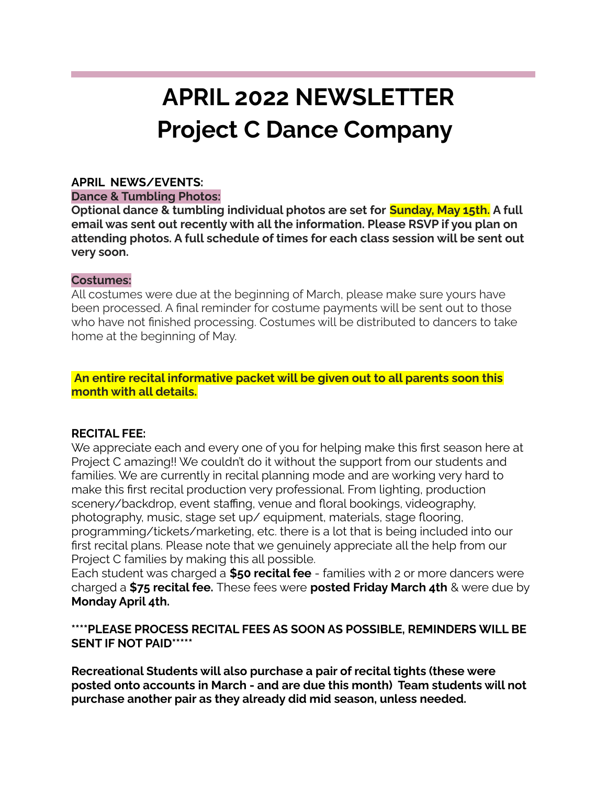# **APRIL 2022 NEWSLETTER Project C Dance Company**

## **APRIL NEWS/EVENTS:**

### **Dance & Tumbling Photos:**

**Optional dance & tumbling individual photos are set for Sunday, May 15th. A full email was sent out recently with all the information. Please RSVP if you plan on attending photos. A full schedule of times for each class session will be sent out very soon.**

### **Costumes:**

All costumes were due at the beginning of March, please make sure yours have been processed. A final reminder for costume payments will be sent out to those who have not finished processing. Costumes will be distributed to dancers to take home at the beginning of May.

## **An entire recital informative packet will be given out to all parents soon this month with all details.**

## **RECITAL FEE:**

We appreciate each and every one of you for helping make this first season here at Project C amazing!! We couldn't do it without the support from our students and families. We are currently in recital planning mode and are working very hard to make this first recital production very professional. From lighting, production scenery/backdrop, event staffing, venue and floral bookings, videography, photography, music, stage set up/ equipment, materials, stage flooring, programming/tickets/marketing, etc. there is a lot that is being included into our first recital plans. Please note that we genuinely appreciate all the help from our Project C families by making this all possible.

Each student was charged a **\$50 recital fee** - families with 2 or more dancers were charged a **\$75 recital fee.** These fees were **posted Friday March 4th** & were due by **Monday April 4th.**

# **\*\*\*\*PLEASE PROCESS RECITAL FEES AS SOON AS POSSIBLE, REMINDERS WILL BE SENT IF NOT PAID\*\*\*\*\***

**Recreational Students will also purchase a pair of recital tights (these were posted onto accounts in March - and are due this month) Team students will not purchase another pair as they already did mid season, unless needed.**